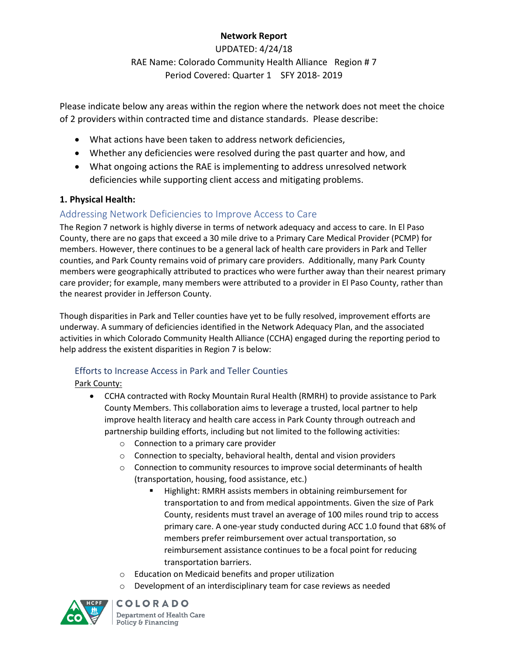# **Network Report**

UPDATED: 4/24/18 RAE Name: Colorado Community Health Alliance Region # 7 Period Covered: Quarter 1 SFY 2018- 2019

Please indicate below any areas within the region where the network does not meet the choice of 2 providers within contracted time and distance standards. Please describe:

- What actions have been taken to address network deficiencies,
- Whether any deficiencies were resolved during the past quarter and how, and
- What ongoing actions the RAE is implementing to address unresolved network deficiencies while supporting client access and mitigating problems.

### **1. Physical Health:**

# Addressing Network Deficiencies to Improve Access to Care

The Region 7 network is highly diverse in terms of network adequacy and access to care. In El Paso County, there are no gaps that exceed a 30 mile drive to a Primary Care Medical Provider (PCMP) for members. However, there continues to be a general lack of health care providers in Park and Teller counties, and Park County remains void of primary care providers. Additionally, many Park County members were geographically attributed to practices who were further away than their nearest primary care provider; for example, many members were attributed to a provider in El Paso County, rather than the nearest provider in Jefferson County.

Though disparities in Park and Teller counties have yet to be fully resolved, improvement efforts are underway. A summary of deficiencies identified in the Network Adequacy Plan, and the associated activities in which Colorado Community Health Alliance (CCHA) engaged during the reporting period to help address the existent disparities in Region 7 is below:

### Efforts to Increase Access in Park and Teller Counties

Park County:

- CCHA contracted with Rocky Mountain Rural Health (RMRH) to provide assistance to Park County Members. This collaboration aims to leverage a trusted, local partner to help improve health literacy and health care access in Park County through outreach and partnership building efforts, including but not limited to the following activities:
	- o Connection to a primary care provider
	- o Connection to specialty, behavioral health, dental and vision providers
	- $\circ$  Connection to community resources to improve social determinants of health (transportation, housing, food assistance, etc.)
		- Highlight: RMRH assists members in obtaining reimbursement for transportation to and from medical appointments. Given the size of Park County, residents must travel an average of 100 miles round trip to access primary care. A one-year study conducted during ACC 1.0 found that 68% of members prefer reimbursement over actual transportation, so reimbursement assistance continues to be a focal point for reducing transportation barriers.
	- o Education on Medicaid benefits and proper utilization
	- $\circ$  Development of an interdisciplinary team for case reviews as needed

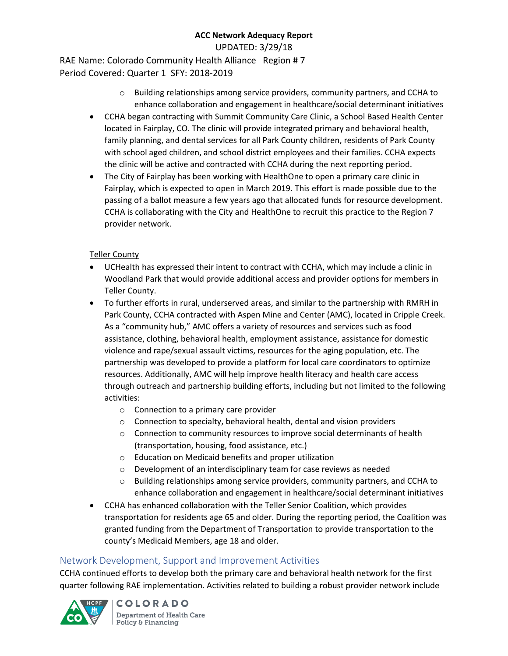UPDATED: 3/29/18

RAE Name: Colorado Community Health Alliance Region # 7 Period Covered: Quarter 1 SFY: 2018-2019

- $\circ$  Building relationships among service providers, community partners, and CCHA to enhance collaboration and engagement in healthcare/social determinant initiatives
- CCHA began contracting with Summit Community Care Clinic, a School Based Health Center located in Fairplay, CO. The clinic will provide integrated primary and behavioral health, family planning, and dental services for all Park County children, residents of Park County with school aged children, and school district employees and their families. CCHA expects the clinic will be active and contracted with CCHA during the next reporting period.
- The City of Fairplay has been working with HealthOne to open a primary care clinic in Fairplay, which is expected to open in March 2019. This effort is made possible due to the passing of a ballot measure a few years ago that allocated funds for resource development. CCHA is collaborating with the City and HealthOne to recruit this practice to the Region 7 provider network.

### Teller County

- UCHealth has expressed their intent to contract with CCHA, which may include a clinic in Woodland Park that would provide additional access and provider options for members in Teller County.
- To further efforts in rural, underserved areas, and similar to the partnership with RMRH in Park County, CCHA contracted with Aspen Mine and Center (AMC), located in Cripple Creek. As a "community hub," AMC offers a variety of resources and services such as food assistance, clothing, behavioral health, employment assistance, assistance for domestic violence and rape/sexual assault victims, resources for the aging population, etc. The partnership was developed to provide a platform for local care coordinators to optimize resources. Additionally, AMC will help improve health literacy and health care access through outreach and partnership building efforts, including but not limited to the following activities:
	- o Connection to a primary care provider
	- o Connection to specialty, behavioral health, dental and vision providers
	- o Connection to community resources to improve social determinants of health (transportation, housing, food assistance, etc.)
	- o Education on Medicaid benefits and proper utilization
	- o Development of an interdisciplinary team for case reviews as needed
	- $\circ$  Building relationships among service providers, community partners, and CCHA to enhance collaboration and engagement in healthcare/social determinant initiatives
- CCHA has enhanced collaboration with the Teller Senior Coalition, which provides transportation for residents age 65 and older. During the reporting period, the Coalition was granted funding from the Department of Transportation to provide transportation to the county's Medicaid Members, age 18 and older.

# Network Development, Support and Improvement Activities

CCHA continued efforts to develop both the primary care and behavioral health network for the first quarter following RAE implementation. Activities related to building a robust provider network include

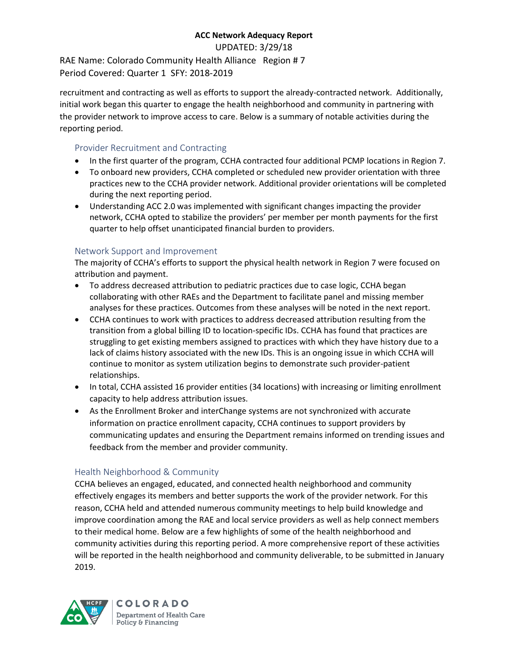UPDATED: 3/29/18

RAE Name: Colorado Community Health Alliance Region # 7 Period Covered: Quarter 1 SFY: 2018-2019

recruitment and contracting as well as efforts to support the already-contracted network. Additionally, initial work began this quarter to engage the health neighborhood and community in partnering with the provider network to improve access to care. Below is a summary of notable activities during the reporting period.

## Provider Recruitment and Contracting

- In the first quarter of the program, CCHA contracted four additional PCMP locations in Region 7.
- To onboard new providers, CCHA completed or scheduled new provider orientation with three practices new to the CCHA provider network. Additional provider orientations will be completed during the next reporting period.
- Understanding ACC 2.0 was implemented with significant changes impacting the provider network, CCHA opted to stabilize the providers' per member per month payments for the first quarter to help offset unanticipated financial burden to providers.

### Network Support and Improvement

The majority of CCHA's efforts to support the physical health network in Region 7 were focused on attribution and payment.

- To address decreased attribution to pediatric practices due to case logic, CCHA began collaborating with other RAEs and the Department to facilitate panel and missing member analyses for these practices. Outcomes from these analyses will be noted in the next report.
- CCHA continues to work with practices to address decreased attribution resulting from the transition from a global billing ID to location-specific IDs. CCHA has found that practices are struggling to get existing members assigned to practices with which they have history due to a lack of claims history associated with the new IDs. This is an ongoing issue in which CCHA will continue to monitor as system utilization begins to demonstrate such provider-patient relationships.
- In total, CCHA assisted 16 provider entities (34 locations) with increasing or limiting enrollment capacity to help address attribution issues.
- As the Enrollment Broker and interChange systems are not synchronized with accurate information on practice enrollment capacity, CCHA continues to support providers by communicating updates and ensuring the Department remains informed on trending issues and feedback from the member and provider community.

# Health Neighborhood & Community

CCHA believes an engaged, educated, and connected health neighborhood and community effectively engages its members and better supports the work of the provider network. For this reason, CCHA held and attended numerous community meetings to help build knowledge and improve coordination among the RAE and local service providers as well as help connect members to their medical home. Below are a few highlights of some of the health neighborhood and community activities during this reporting period. A more comprehensive report of these activities will be reported in the health neighborhood and community deliverable, to be submitted in January 2019.

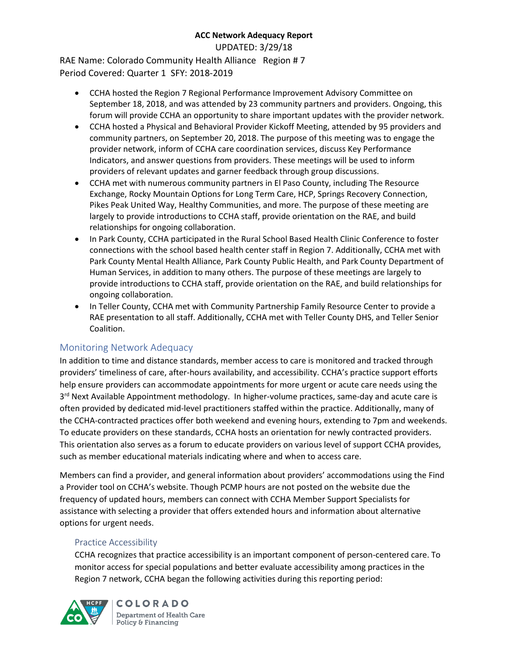UPDATED: 3/29/18

RAE Name: Colorado Community Health Alliance Region # 7 Period Covered: Quarter 1 SFY: 2018-2019

- CCHA hosted the Region 7 Regional Performance Improvement Advisory Committee on September 18, 2018, and was attended by 23 community partners and providers. Ongoing, this forum will provide CCHA an opportunity to share important updates with the provider network.
- CCHA hosted a Physical and Behavioral Provider Kickoff Meeting, attended by 95 providers and community partners, on September 20, 2018. The purpose of this meeting was to engage the provider network, inform of CCHA care coordination services, discuss Key Performance Indicators, and answer questions from providers. These meetings will be used to inform providers of relevant updates and garner feedback through group discussions.
- CCHA met with numerous community partners in El Paso County, including The Resource Exchange, Rocky Mountain Options for Long Term Care, HCP, Springs Recovery Connection, Pikes Peak United Way, Healthy Communities, and more. The purpose of these meeting are largely to provide introductions to CCHA staff, provide orientation on the RAE, and build relationships for ongoing collaboration.
- In Park County, CCHA participated in the Rural School Based Health Clinic Conference to foster connections with the school based health center staff in Region 7. Additionally, CCHA met with Park County Mental Health Alliance, Park County Public Health, and Park County Department of Human Services, in addition to many others. The purpose of these meetings are largely to provide introductions to CCHA staff, provide orientation on the RAE, and build relationships for ongoing collaboration.
- In Teller County, CCHA met with Community Partnership Family Resource Center to provide a RAE presentation to all staff. Additionally, CCHA met with Teller County DHS, and Teller Senior Coalition.

# Monitoring Network Adequacy

In addition to time and distance standards, member access to care is monitored and tracked through providers' timeliness of care, after-hours availability, and accessibility. CCHA's practice support efforts help ensure providers can accommodate appointments for more urgent or acute care needs using the 3<sup>rd</sup> Next Available Appointment methodology. In higher-volume practices, same-day and acute care is often provided by dedicated mid-level practitioners staffed within the practice. Additionally, many of the CCHA-contracted practices offer both weekend and evening hours, extending to 7pm and weekends. To educate providers on these standards, CCHA hosts an orientation for newly contracted providers. This orientation also serves as a forum to educate providers on various level of support CCHA provides, such as member educational materials indicating where and when to access care.

Members can find a provider, and general information about providers' accommodations using the Find a Provider tool on CCHA's website. Though PCMP hours are not posted on the website due the frequency of updated hours, members can connect with CCHA Member Support Specialists for assistance with selecting a provider that offers extended hours and information about alternative options for urgent needs.

#### Practice Accessibility

CCHA recognizes that practice accessibility is an important component of person-centered care. To monitor access for special populations and better evaluate accessibility among practices in the Region 7 network, CCHA began the following activities during this reporting period:

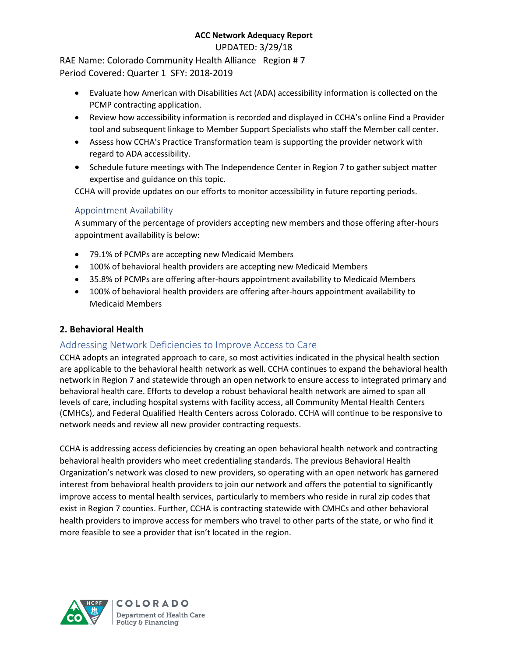UPDATED: 3/29/18

RAE Name: Colorado Community Health Alliance Region # 7 Period Covered: Quarter 1 SFY: 2018-2019

- Evaluate how American with Disabilities Act (ADA) accessibility information is collected on the PCMP contracting application.
- Review how accessibility information is recorded and displayed in CCHA's online Find a Provider tool and subsequent linkage to Member Support Specialists who staff the Member call center.
- Assess how CCHA's Practice Transformation team is supporting the provider network with regard to ADA accessibility.
- Schedule future meetings with The Independence Center in Region 7 to gather subject matter expertise and guidance on this topic.

CCHA will provide updates on our efforts to monitor accessibility in future reporting periods.

### Appointment Availability

A summary of the percentage of providers accepting new members and those offering after-hours appointment availability is below:

- 79.1% of PCMPs are accepting new Medicaid Members
- 100% of behavioral health providers are accepting new Medicaid Members
- 35.8% of PCMPs are offering after-hours appointment availability to Medicaid Members
- 100% of behavioral health providers are offering after-hours appointment availability to Medicaid Members

### **2. Behavioral Health**

# Addressing Network Deficiencies to Improve Access to Care

CCHA adopts an integrated approach to care, so most activities indicated in the physical health section are applicable to the behavioral health network as well. CCHA continues to expand the behavioral health network in Region 7 and statewide through an open network to ensure access to integrated primary and behavioral health care. Efforts to develop a robust behavioral health network are aimed to span all levels of care, including hospital systems with facility access, all Community Mental Health Centers (CMHCs), and Federal Qualified Health Centers across Colorado. CCHA will continue to be responsive to network needs and review all new provider contracting requests.

CCHA is addressing access deficiencies by creating an open behavioral health network and contracting behavioral health providers who meet credentialing standards. The previous Behavioral Health Organization's network was closed to new providers, so operating with an open network has garnered interest from behavioral health providers to join our network and offers the potential to significantly improve access to mental health services, particularly to members who reside in rural zip codes that exist in Region 7 counties. Further, CCHA is contracting statewide with CMHCs and other behavioral health providers to improve access for members who travel to other parts of the state, or who find it more feasible to see a provider that isn't located in the region.

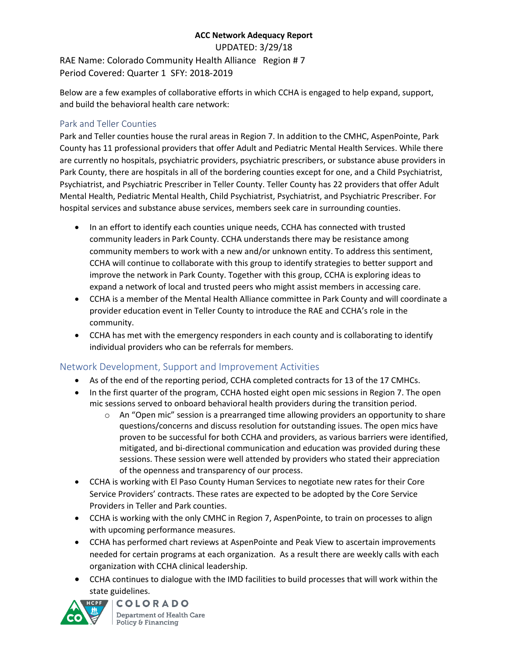UPDATED: 3/29/18

RAE Name: Colorado Community Health Alliance Region # 7 Period Covered: Quarter 1 SFY: 2018-2019

Below are a few examples of collaborative efforts in which CCHA is engaged to help expand, support, and build the behavioral health care network:

### Park and Teller Counties

Park and Teller counties house the rural areas in Region 7. In addition to the CMHC, AspenPointe, Park County has 11 professional providers that offer Adult and Pediatric Mental Health Services. While there are currently no hospitals, psychiatric providers, psychiatric prescribers, or substance abuse providers in Park County, there are hospitals in all of the bordering counties except for one, and a Child Psychiatrist, Psychiatrist, and Psychiatric Prescriber in Teller County. Teller County has 22 providers that offer Adult Mental Health, Pediatric Mental Health, Child Psychiatrist, Psychiatrist, and Psychiatric Prescriber. For hospital services and substance abuse services, members seek care in surrounding counties.

- In an effort to identify each counties unique needs, CCHA has connected with trusted community leaders in Park County. CCHA understands there may be resistance among community members to work with a new and/or unknown entity. To address this sentiment, CCHA will continue to collaborate with this group to identify strategies to better support and improve the network in Park County. Together with this group, CCHA is exploring ideas to expand a network of local and trusted peers who might assist members in accessing care.
- CCHA is a member of the Mental Health Alliance committee in Park County and will coordinate a provider education event in Teller County to introduce the RAE and CCHA's role in the community.
- CCHA has met with the emergency responders in each county and is collaborating to identify individual providers who can be referrals for members.

# Network Development, Support and Improvement Activities

- As of the end of the reporting period, CCHA completed contracts for 13 of the 17 CMHCs.
- In the first quarter of the program, CCHA hosted eight open mic sessions in Region 7. The open mic sessions served to onboard behavioral health providers during the transition period.
	- $\circ$  An "Open mic" session is a prearranged time allowing providers an opportunity to share questions/concerns and discuss resolution for outstanding issues. The open mics have proven to be successful for both CCHA and providers, as various barriers were identified, mitigated, and bi-directional communication and education was provided during these sessions. These session were well attended by providers who stated their appreciation of the openness and transparency of our process.
- CCHA is working with El Paso County Human Services to negotiate new rates for their Core Service Providers' contracts. These rates are expected to be adopted by the Core Service Providers in Teller and Park counties.
- CCHA is working with the only CMHC in Region 7, AspenPointe, to train on processes to align with upcoming performance measures.
- CCHA has performed chart reviews at AspenPointe and Peak View to ascertain improvements needed for certain programs at each organization. As a result there are weekly calls with each organization with CCHA clinical leadership.
- CCHA continues to dialogue with the IMD facilities to build processes that will work within the state guidelines.

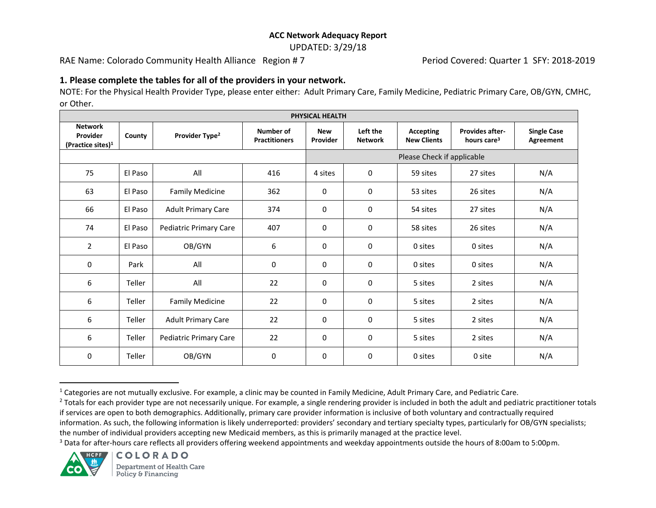UPDATED: 3/29/18

RAE Name: Colorado Community Health Alliance Region # 7 Period Covered: Quarter 1 SFY: 2018-2019

#### **1. Please complete the tables for all of the providers in your network.**

NOTE: For the Physical Health Provider Type, please enter either: Adult Primary Care, Family Medicine, Pediatric Primary Care, OB/GYN, CMHC, or Other.

| PHYSICAL HEALTH                                    |         |                            |                                   |                            |                            |                                        |                                                   |                                 |  |  |
|----------------------------------------------------|---------|----------------------------|-----------------------------------|----------------------------|----------------------------|----------------------------------------|---------------------------------------------------|---------------------------------|--|--|
| <b>Network</b><br>Provider<br>(Practice sites) $1$ | County  | Provider Type <sup>2</sup> | Number of<br><b>Practitioners</b> | <b>New</b><br>Provider     | Left the<br><b>Network</b> | <b>Accepting</b><br><b>New Clients</b> | <b>Provides after-</b><br>hours care <sup>3</sup> | <b>Single Case</b><br>Agreement |  |  |
|                                                    |         |                            |                                   | Please Check if applicable |                            |                                        |                                                   |                                 |  |  |
| 75                                                 | El Paso | All                        | 416                               | 4 sites                    | 0                          | 59 sites                               | 27 sites                                          | N/A                             |  |  |
| 63                                                 | El Paso | <b>Family Medicine</b>     | 362                               | 0                          | $\mathbf 0$                | 53 sites                               | 26 sites                                          | N/A                             |  |  |
| 66                                                 | El Paso | <b>Adult Primary Care</b>  | 374                               | 0                          | 0                          | 54 sites                               | 27 sites                                          | N/A                             |  |  |
| 74                                                 | El Paso | Pediatric Primary Care     | 407                               | 0                          | 0                          | 58 sites                               | 26 sites                                          | N/A                             |  |  |
| $\overline{2}$                                     | El Paso | OB/GYN                     | 6                                 | 0                          | 0                          | 0 sites                                | 0 sites                                           | N/A                             |  |  |
| 0                                                  | Park    | All                        | 0                                 | 0                          | 0                          | 0 sites                                | 0 sites                                           | N/A                             |  |  |
| 6                                                  | Teller  | All                        | 22                                | 0                          | 0                          | 5 sites                                | 2 sites                                           | N/A                             |  |  |
| 6                                                  | Teller  | <b>Family Medicine</b>     | 22                                | 0                          | 0                          | 5 sites                                | 2 sites                                           | N/A                             |  |  |
| 6                                                  | Teller  | <b>Adult Primary Care</b>  | 22                                | 0                          | $\mathbf 0$                | 5 sites                                | 2 sites                                           | N/A                             |  |  |
| 6                                                  | Teller  | Pediatric Primary Care     | 22                                | 0                          | 0                          | 5 sites                                | 2 sites                                           | N/A                             |  |  |
| 0                                                  | Teller  | OB/GYN                     | 0                                 | 0                          | 0                          | 0 sites                                | 0 site                                            | N/A                             |  |  |

<sup>&</sup>lt;sup>1</sup> Categories are not mutually exclusive. For example, a clinic may be counted in Family Medicine, Adult Primary Care, and Pediatric Care.

<sup>3</sup> Data for after-hours care reflects all providers offering weekend appointments and weekday appointments outside the hours of 8:00am to 5:00pm.



l

<sup>&</sup>lt;sup>2</sup> Totals for each provider type are not necessarily unique. For example, a single rendering provider is included in both the adult and pediatric practitioner totals if services are open to both demographics. Additionally, primary care provider information is inclusive of both voluntary and contractually required

information. As such, the following information is likely underreported: providers' secondary and tertiary specialty types, particularly for OB/GYN specialists; the number of individual providers accepting new Medicaid members, as this is primarily managed at the practice level.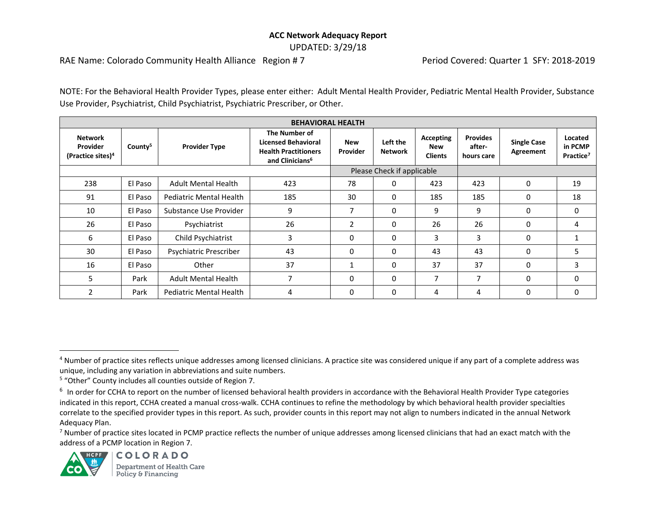#### **ACC Network Adequacy Report**  UPDATED: 3/29/18

RAE Name: Colorado Community Health Alliance Region # 7 Period Covered: Quarter 1 SFY: 2018-2019

NOTE: For the Behavioral Health Provider Types, please enter either: Adult Mental Health Provider, Pediatric Mental Health Provider, Substance Use Provider, Psychiatrist, Child Psychiatrist, Psychiatric Prescriber, or Other.

| <b>BEHAVIORAL HEALTH</b>                                    |                     |                                |                                                                                                           |                        |                            |                                                  |                                         |                                 |                                             |
|-------------------------------------------------------------|---------------------|--------------------------------|-----------------------------------------------------------------------------------------------------------|------------------------|----------------------------|--------------------------------------------------|-----------------------------------------|---------------------------------|---------------------------------------------|
| <b>Network</b><br>Provider<br>(Practice sites) <sup>4</sup> | County <sup>5</sup> | <b>Provider Type</b>           | The Number of<br><b>Licensed Behavioral</b><br><b>Health Practitioners</b><br>and Clinicians <sup>6</sup> | <b>New</b><br>Provider | Left the<br><b>Network</b> | <b>Accepting</b><br><b>New</b><br><b>Clients</b> | <b>Provides</b><br>after-<br>hours care | <b>Single Case</b><br>Agreement | Located<br>in PCMP<br>Practice <sup>7</sup> |
|                                                             |                     |                                | Please Check if applicable                                                                                |                        |                            |                                                  |                                         |                                 |                                             |
| 238                                                         | El Paso             | <b>Adult Mental Health</b>     | 423                                                                                                       | 78                     | $\mathbf{0}$               | 423                                              | 423                                     | $\Omega$                        | 19                                          |
| 91                                                          | El Paso             | Pediatric Mental Health        | 185                                                                                                       | 30                     | $\Omega$                   | 185                                              | 185                                     | 0                               | 18                                          |
| 10                                                          | El Paso             | Substance Use Provider         | 9                                                                                                         | 7                      | $\Omega$                   | 9                                                | 9                                       | $\Omega$                        | 0                                           |
| 26                                                          | El Paso             | Psychiatrist                   | 26                                                                                                        | $\overline{2}$         | 0                          | 26                                               | 26                                      | 0                               | 4                                           |
| 6                                                           | El Paso             | Child Psychiatrist             | 3                                                                                                         | $\mathbf{0}$           | 0                          | 3                                                | 3                                       | $\Omega$                        |                                             |
| 30                                                          | El Paso             | Psychiatric Prescriber         | 43                                                                                                        | $\Omega$               | $\Omega$                   | 43                                               | 43                                      | 0                               | כ                                           |
| 16                                                          | El Paso             | Other                          | 37                                                                                                        |                        | $\Omega$                   | 37                                               | 37                                      | 0                               | 3                                           |
| 5                                                           | Park                | <b>Adult Mental Health</b>     | $\overline{7}$                                                                                            | $\Omega$               | 0                          | 7                                                | 7                                       | 0                               | 0                                           |
|                                                             | Park                | <b>Pediatric Mental Health</b> | 4                                                                                                         | $\Omega$               | $\Omega$                   | 4                                                | 4                                       | 0                               | 0                                           |

<sup>5</sup> "Other" County includes all counties outside of Region 7.

 $^7$  Number of practice sites located in PCMP practice reflects the number of unique addresses among licensed clinicians that had an exact match with the address of a PCMP location in Region 7.



l

<sup>&</sup>lt;sup>4</sup> Number of practice sites reflects unique addresses among licensed clinicians. A practice site was considered unique if any part of a complete address was unique, including any variation in abbreviations and suite numbers.

 $^6$  In order for CCHA to report on the number of licensed behavioral health providers in accordance with the Behavioral Health Provider Type categories indicated in this report, CCHA created a manual cross-walk. CCHA continues to refine the methodology by which behavioral health provider specialties correlate to the specified provider types in this report. As such, provider counts in this report may not align to numbers indicated in the annual Network Adequacy Plan.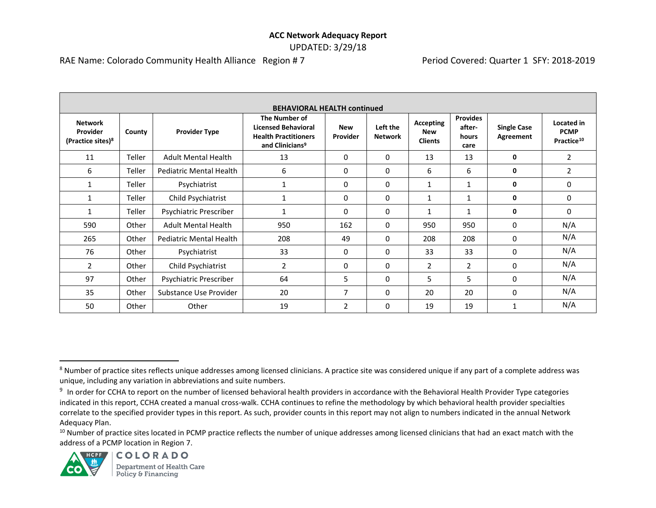#### **ACC Network Adequacy Report**  UPDATED: 3/29/18

RAE Name: Colorado Community Health Alliance Region # 7 Period Covered: Quarter 1 SFY: 2018-2019

| <b>BEHAVIORAL HEALTH continued</b>                          |        |                                |                                                                                                           |                        |                            |                                           |                                            |                                 |                                                     |
|-------------------------------------------------------------|--------|--------------------------------|-----------------------------------------------------------------------------------------------------------|------------------------|----------------------------|-------------------------------------------|--------------------------------------------|---------------------------------|-----------------------------------------------------|
| <b>Network</b><br>Provider<br>(Practice sites) <sup>8</sup> | County | <b>Provider Type</b>           | The Number of<br><b>Licensed Behavioral</b><br><b>Health Practitioners</b><br>and Clinicians <sup>9</sup> | <b>New</b><br>Provider | Left the<br><b>Network</b> | Accepting<br><b>New</b><br><b>Clients</b> | <b>Provides</b><br>after-<br>hours<br>care | <b>Single Case</b><br>Agreement | Located in<br><b>PCMP</b><br>Practice <sup>10</sup> |
| 11                                                          | Teller | <b>Adult Mental Health</b>     | 13                                                                                                        | $\Omega$               | 0                          | 13                                        | 13                                         | 0                               | $\overline{2}$                                      |
| 6                                                           | Teller | <b>Pediatric Mental Health</b> | 6                                                                                                         | 0                      | 0                          | 6                                         | 6                                          | 0                               | 2                                                   |
| $\mathbf{1}$                                                | Teller | Psychiatrist                   | $\mathbf{1}$                                                                                              | $\Omega$               | 0                          | $\mathbf{1}$                              | 1                                          | 0                               | 0                                                   |
| 1                                                           | Teller | Child Psychiatrist             |                                                                                                           | $\mathbf{0}$           | 0                          | 1                                         |                                            | 0                               | $\mathbf{0}$                                        |
| 1                                                           | Teller | Psychiatric Prescriber         | 1                                                                                                         | $\Omega$               | 0                          | 1                                         | $\mathbf{1}$                               | 0                               | $\Omega$                                            |
| 590                                                         | Other  | <b>Adult Mental Health</b>     | 950                                                                                                       | 162                    | 0                          | 950                                       | 950                                        | $\Omega$                        | N/A                                                 |
| 265                                                         | Other  | <b>Pediatric Mental Health</b> | 208                                                                                                       | 49                     | 0                          | 208                                       | 208                                        | 0                               | N/A                                                 |
| 76                                                          | Other  | Psychiatrist                   | 33                                                                                                        | $\Omega$               | 0                          | 33                                        | 33                                         | $\Omega$                        | N/A                                                 |
| 2                                                           | Other  | Child Psychiatrist             | $\overline{2}$                                                                                            | 0                      | 0                          | 2                                         | $\overline{2}$                             | 0                               | N/A                                                 |
| 97                                                          | Other  | Psychiatric Prescriber         | 64                                                                                                        | 5                      | 0                          | 5                                         | 5                                          | 0                               | N/A                                                 |
| 35                                                          | Other  | Substance Use Provider         | 20                                                                                                        | 7                      | 0                          | 20                                        | 20                                         | $\Omega$                        | N/A                                                 |
| 50                                                          | Other  | Other                          | 19                                                                                                        | $\mathcal{P}$          | 0                          | 19                                        | 19                                         | 1                               | N/A                                                 |

<sup>&</sup>lt;sup>10</sup> Number of practice sites located in PCMP practice reflects the number of unique addresses among licensed clinicians that had an exact match with the address of a PCMP location in Region 7.



 $\overline{\phantom{a}}$ 

<sup>&</sup>lt;sup>8</sup> Number of practice sites reflects unique addresses among licensed clinicians. A practice site was considered unique if any part of a complete address was unique, including any variation in abbreviations and suite numbers.

<sup>&</sup>lt;sup>9</sup> In order for CCHA to report on the number of licensed behavioral health providers in accordance with the Behavioral Health Provider Type categories indicated in this report, CCHA created a manual cross-walk. CCHA continues to refine the methodology by which behavioral health provider specialties correlate to the specified provider types in this report. As such, provider counts in this report may not align to numbers indicated in the annual Network Adequacy Plan.